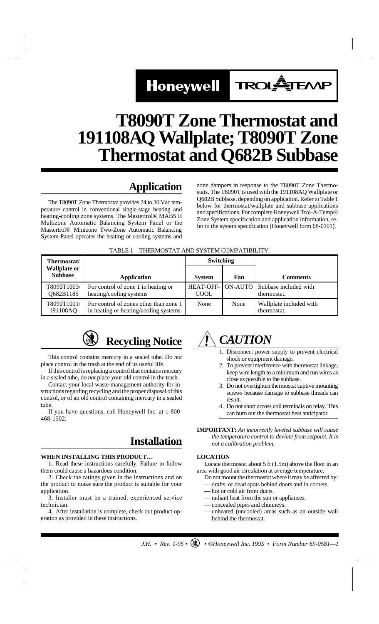# Honeywell TROLATEMP

## **T8090T Zone Thermostat and 191108AQ Wallplate; T8090T Zone Thermostat and Q682B Subbase**

## **Application**

The T8090T Zone Thermostat provides 24 to 30 Vac temperature control in conventional single-stage heating and heating-cooling zone systems. The Mastertrol® MABS II Multizone Automatic Balancing System Panel or the Mastertrol® Minizone Two-Zone Automatic Balancing System Panel operates the heating or cooling systems and

zone dampers in response to the T8090T Zone Thermostats. The T8090T is used with the 191108AQ Wallplate or Q682B Subbase, depending on application. Refer to Table 1 below for thermostat/wallplate and subbase applications and specifications. For complete Honeywell Trol-A-Temp® Zone System specification and application information, refer to the system specification (Honeywell form 68-0101).

#### TABLE 1—THERMOSTAT AND SYSTEM COMPATIBILITY.

| Thermostat/                           |                                                                                  | <b>Switching</b>         |      |                                              |
|---------------------------------------|----------------------------------------------------------------------------------|--------------------------|------|----------------------------------------------|
| <b>Wallplate or</b><br><b>Subbase</b> | <b>Application</b>                                                               | <b>System</b>            | Fan  | <b>Comments</b>                              |
| T8090T1003/<br>Q682B1185              | For control of zone 1 in heating or<br>heating/cooling systems                   | <b>HEAT-OFF-</b><br>COOL |      | ON-AUTO Subbase included with<br>thermostat. |
| T8090T1011/<br>191108AQ               | For control of zones other than zone 1<br>in heating or heating/cooling systems. | None                     | None | Wallplate included with<br>thermostat.       |



This control contains mercury in a sealed tube. Do *not* place control in the trash at the end of its useful life.

If this control is replacing a control that contains mercury in a sealed tube, do *not* place your old control in the trash.

Contact your local waste management authority for instructions regarding recycling and the proper disposal of this control, or of an old control containing mercury in a sealed tube.

If you have questions, call Honeywell Inc. at 1-800- 468-1502.

## **Installation**

#### **WHEN INSTALLING THIS PRODUCT…**

1. Read these instructions carefully. Failure to follow them could cause a hazardous condition.

2. Check the ratings given in the instructions and on the product to make sure the product is suitable for your application.

3. Installer must be a trained, experienced service technician.

4. After installation is complete, check out product operation as provided in these instructions.



- 1. Disconnect power supply to prevent electrical shock or equipment damage.
- 2. To prevent interference with thermostat linkage, keep wire length to a minimum and run wires as close as possible to the subbase.
- 3. Do not overtighten thermostat captive mounting screws because damage to subbase threads can result.
- 4. Do not short across coil terminals on relay. This can burn out the thermostat heat anticipator.

**IMPORTANT:** *An incorrectly leveled subbase will cause the temperature control to deviate from setpoint. It is not a calibration problem.*

### **LOCATION**

Locate thermostat about 5 ft (1.5m) above the floor in an area with good air circulation at average temperature.

- Do not mount the thermostat where it may be affected by:
- drafts, or dead spots behind doors and in corners.
- hot or cold air from ducts.
- radiant heat from the sun or appliances.
- concealed pipes and chimneys.
- unheated (uncooled) areas such as an outside wall behind the thermostat.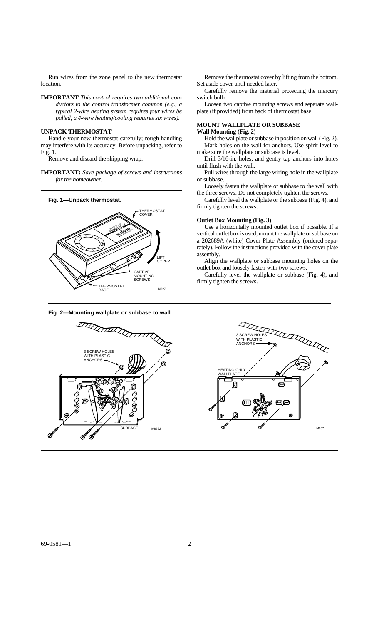Run wires from the zone panel to the new thermostat location.

**IMPORTANT***:This control requires two additional conductors to the control transformer common (e.g., a typical 2-wire heating system requires four wires be pulled, a 4-wire heating/cooling requires six wires).*

#### **UNPACK THERMOSTAT**

Handle your new thermostat carefully; rough handling may interfere with its accuracy. Before unpacking, refer to Fig. 1.

Remove and discard the shipping wrap.

**IMPORTANT:** *Save package of screws and instructions for the homeowner.*

#### **Fig. 1—Unpack thermostat.**



#### **Fig. 2—Mounting wallplate or subbase to wall.**

Remove the thermostat cover by lifting from the bottom. Set aside cover until needed later.

Carefully remove the material protecting the mercury switch bulb.

Loosen two captive mounting screws and separate wallplate (if provided) from back of thermostat base.

#### **MOUNT WALLPLATE OR SUBBASE Wall Mounting (Fig. 2)**

Hold the wallplate or subbase in position on wall (Fig. 2). Mark holes on the wall for anchors. Use spirit level to make sure the wallplate or subbase is level.

Drill 3/16-in. holes, and gently tap anchors into holes until flush with the wall.

Pull wires through the large wiring hole in the wallplate or subbase.

Loosely fasten the wallplate or subbase to the wall with the three screws. Do not completely tighten the screws.

Carefully level the wallplate or the subbase (Fig. 4), and firmly tighten the screws.

#### **Outlet Box Mounting (Fig. 3)**

Use a horizontally mounted outlet box if possible. If a vertical outlet box is used, mount the wallplate or subbase on a 202689A (white) Cover Plate Assembly (ordered separately). Follow the instructions provided with the cover plate assembly.

Align the wallplate or subbase mounting holes on the outlet box and loosely fasten with two screws.

Carefully level the wallplate or subbase (Fig. 4), and firmly tighten the screws.

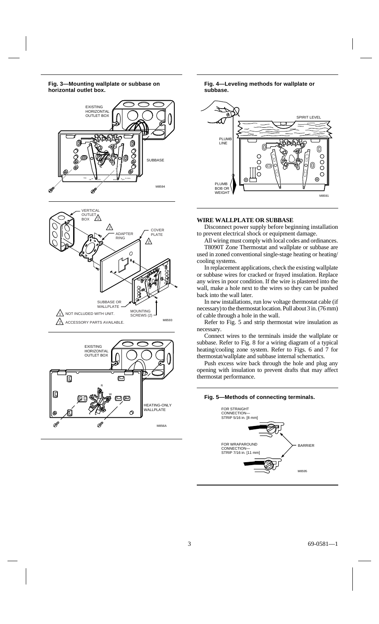#### **Fig. 3—Mounting wallplate or subbase on horizontal outlet box.**







**Fig. 4—Leveling methods for wallplate or subbase.**



#### **WIRE WALLPLATE OR SUBBASE**

Disconnect power supply before beginning installation to prevent electrical shock or equipment damage.

All wiring must comply with local codes and ordinances. T8090T Zone Thermostat and wallplate or subbase are used in zoned conventional single-stage heating or heating/ cooling systems.

In replacement applications, check the existing wallplate or subbase wires for cracked or frayed insulation. Replace any wires in poor condition. If the wire is plastered into the wall, make a hole next to the wires so they can be pushed back into the wall later.

In new installations, run low voltage thermostat cable (if necessary) to the thermostat location. Pull about 3 in. (76 mm) of cable through a hole in the wall.

Refer to Fig. 5 and strip thermostat wire insulation as necessary.

Connect wires to the terminals inside the wallplate or subbase. Refer to Fig. 8 for a wiring diagram of a typical heating/cooling zone system. Refer to Figs. 6 and 7 for thermostat/wallplate and subbase internal schematics.

Push excess wire back through the hole and plug any opening with insulation to prevent drafts that may affect thermostat performance.

#### **Fig. 5—Methods of connecting terminals.**

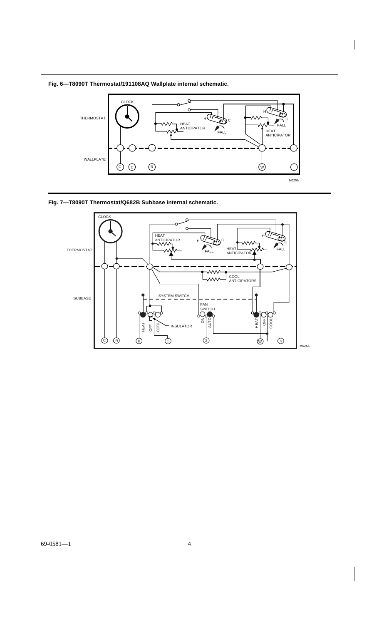**Fig. 6—T8090T Thermostat/191108AQ Wallplate internal schematic.**



**Fig. 7—T8090T Thermostat/Q682B Subbase internal schematic.**

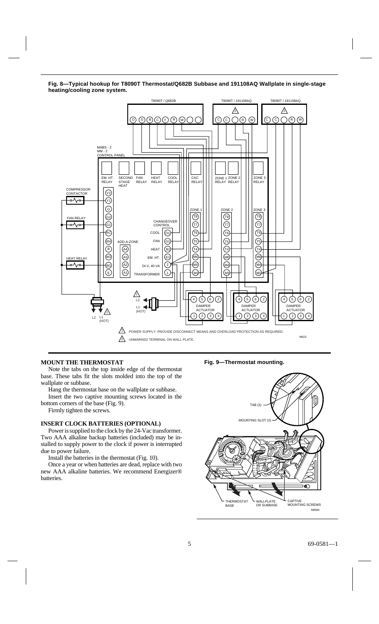**Fig. 8—Typical hookup for T8090T Thermostat/Q682B Subbase and 191108AQ Wallplate in single-stage heating/cooling zone system.**



#### **MOUNT THE THERMOSTAT**

Note the tabs on the top inside edge of the thermostat base. These tabs fit the slots molded into the top of the wallplate or subbase.

Hang the thermostat base on the wallplate or subbase.

Insert the two captive mounting screws located in the bottom corners of the base (Fig. 9).

Firmly tighten the screws.

#### **INSERT CLOCK BATTERIES (OPTIONAL)**

Power is supplied to the clock by the 24-Vac transformer. Two AAA alkaline backup batteries (included) may be installed to supply power to the clock if power is interrupted due to power failure.

Install the batteries in the thermostat (Fig. 10).

Once a year or when batteries are dead, replace with two new AAA alkaline batteries. We recommend Energizer® batteries.

**Fig. 9—Thermostat mounting.**

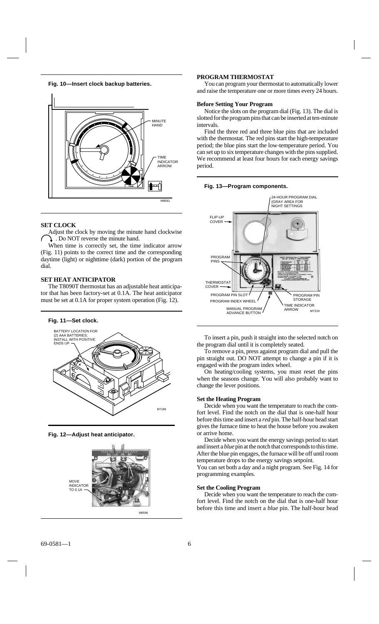**Fig. 10—Insert clock backup batteries.**



#### **SET CLOCK**

Adjust the clock by moving the minute hand clockwise . Do NOT reverse the minute hand.

When time is correctly set, the time indicator arrow (Fig. 11) points to the correct time and the corresponding daytime (light) or nighttime (dark) portion of the program dial.

#### **SET HEAT ANTICIPATOR**

The T8090T thermostat has an adjustable heat anticipator that has been factory-set at 0.1A. The heat anticipator must be set at 0.1A for proper system operation (Fig. 12).

#### **Fig. 11—Set clock.**



**Fig. 12—Adjust heat anticipator.**



#### **PROGRAM THERMOSTAT**

You can program your thermostat to automatically lower and raise the temperature one or more times every 24 hours.

#### **Before Setting Your Program**

Notice the slots on the program dial (Fig. 13). The dial is slotted for the program pins that can be inserted at ten-minute intervals.

Find the three red and three blue pins that are included with the thermostat. The red pins start the high-temperature period; the blue pins start the low-temperature period. You can set up to six temperature changes with the pins supplied. We recommend at least four hours for each energy savings period.



#### **Fig. 13—Program components.**

To insert a pin, push it straight into the selected notch on the program dial until it is completely seated.

To remove a pin, press against program dial and pull the pin straight out. DO NOT attempt to change a pin if it is engaged with the program index wheel.

On heating/cooling systems, you must reset the pins when the seasons change. You will also probably want to change the lever positions.

#### **Set the Heating Program**

Decide when you want the temperature to reach the comfort level. Find the notch on the dial that is one-half hour before this time and insert a *red* pin. The half-hour head start gives the furnace time to heat the house before you awaken or arrive home.

Decide when you want the energy savings period to start and insert a *blue* pin at the notch that corresponds to this time. After the blue pin engages, the furnace will be off until room temperature drops to the energy savings setpoint.

You can set both a day and a night program. See Fig. 14 for programming examples.

#### **Set the Cooling Program**

Decide when you want the temperature to reach the comfort level. Find the notch on the dial that is one-half hour before this time and insert a *blue* pin. The half-hour head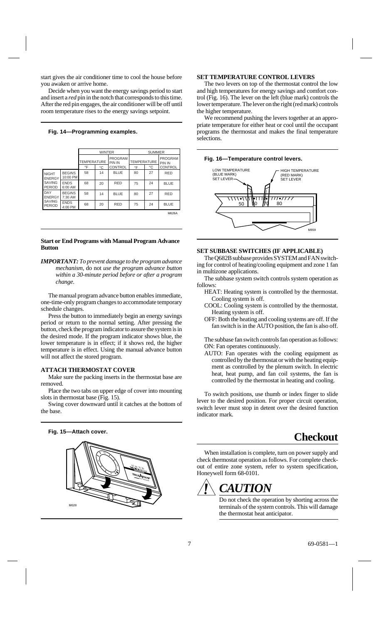start gives the air conditioner time to cool the house before you awaken or arrive home.

Decide when you want the energy savings period to start and insert a *red* pin in the notch that corresponds to this time. After the red pin engages, the air conditioner will be off until room temperature rises to the energy savings setpoint.

#### **Fig. 14—Programming examples.**

|                                                                 |                           | <b>WINTER</b>      |    |                                 | <b>SUMMER</b>      |    |                          |
|-----------------------------------------------------------------|---------------------------|--------------------|----|---------------------------------|--------------------|----|--------------------------|
|                                                                 |                           | <b>TEMPERATURE</b> |    | <b>PROGRAM</b><br><b>PIN IN</b> | <b>TEMPERATURE</b> |    | <b>PROGRAM</b><br>PIN IN |
|                                                                 |                           | °F                 | °C | CONTROL                         | $\circ$ F          | °C | <b>CONTROL</b>           |
| <b>NIGHT</b><br><b>ENERGY</b><br><b>SAVING</b><br><b>PERIOD</b> | <b>BEGINS</b><br>10:00 PM | 58                 | 14 | <b>BLUE</b>                     | 80                 | 27 | <b>RED</b>               |
|                                                                 | <b>ENDS</b><br>6:00 AM    | 68                 | 20 | <b>RED</b>                      | 75                 | 24 | <b>BLUE</b>              |
| DAY<br><b>ENERGY</b><br><b>SAVING</b><br><b>PERIOD</b>          | <b>BEGINS</b><br>7:30 AM  | 58                 | 14 | <b>BLUE</b>                     | 80                 | 27 | <b>RED</b>               |
|                                                                 | <b>ENDS</b><br>4:00 PM    | 68                 | 20 | <b>RED</b>                      | 75                 | 24 | <b>BLUE</b>              |
|                                                                 |                           |                    |    |                                 |                    |    | M626A                    |

#### **Start or End Programs with Manual Program Advance Button**

*IMPORTANT: To prevent damage to the program advance mechanism,* do not *use the program advance button within a 30-minute period before or after a program change.*

The manual program advance button enables immediate, one-time-only program changes to accommodate temporary schedule changes.

Press the button to immediately begin an energy savings period or return to the normal setting. After pressing the button, check the program indicator to assure the system is in the desired mode. If the program indicator shows blue, the lower temperature is in effect; if it shows red, the higher temperature is in effect. Using the manual advance button will not affect the stored program.

#### **ATTACH THERMOSTAT COVER**

Make sure the packing inserts in the thermostat base are removed.

Place the two tabs on upper edge of cover into mounting slots in thermostat base (Fig. 15).

Swing cover downward until it catches at the bottom of the base.

### **Fig. 15—Attach cover.**



#### **SET TEMPERATURE CONTROL LEVERS**

The two levers on top of the thermostat control the low and high temperatures for energy savings and comfort control (Fig. 16). The lever on the left (blue mark) controls the lower temperature. The lever on the right (red mark) controls the higher temperature.

We recommend pushing the levers together at an appropriate temperature for either heat or cool until the occupant programs the thermostat and makes the final temperature selections.

#### **Fig. 16—Temperature control levers.**



#### **SET SUBBASE SWITCHES (IF APPLICABLE)**

The Q682B subbase provides SYSTEM and FAN switching for control of heating/cooling equipment and zone 1 fan in multizone applications.

- The subbase system switch controls system operation as follows:
	- HEAT: Heating system is controlled by the thermostat. Cooling system is off.
	- COOL: Cooling system is controlled by the thermostat. Heating system is off.
	- OFF: Both the heating and cooling systems are off. If the fan switch is in the AUTO position, the fan is also off.

The subbase fan switch controls fan operation as follows: ON: Fan operates continuously.

AUTO: Fan operates with the cooling equipment as controlled by the thermostat or with the heating equipment as controlled by the plenum switch. In electric heat, heat pump, and fan coil systems, the fan is controlled by the thermostat in heating and cooling.

To switch positions, use thumb or index finger to slide lever to the desired position. For proper circuit operation, switch lever must stop in detent over the desired function indicator mark.

## **Checkout**

When installation is complete, turn on power supply and check thermostat operation as follows. For complete checkout of entire zone system, refer to system specification, Honeywell form 68-0101.

## *CAUTION*

Do not check the operation by shorting across the terminals of the system controls. This will damage the thermostat heat anticipator.